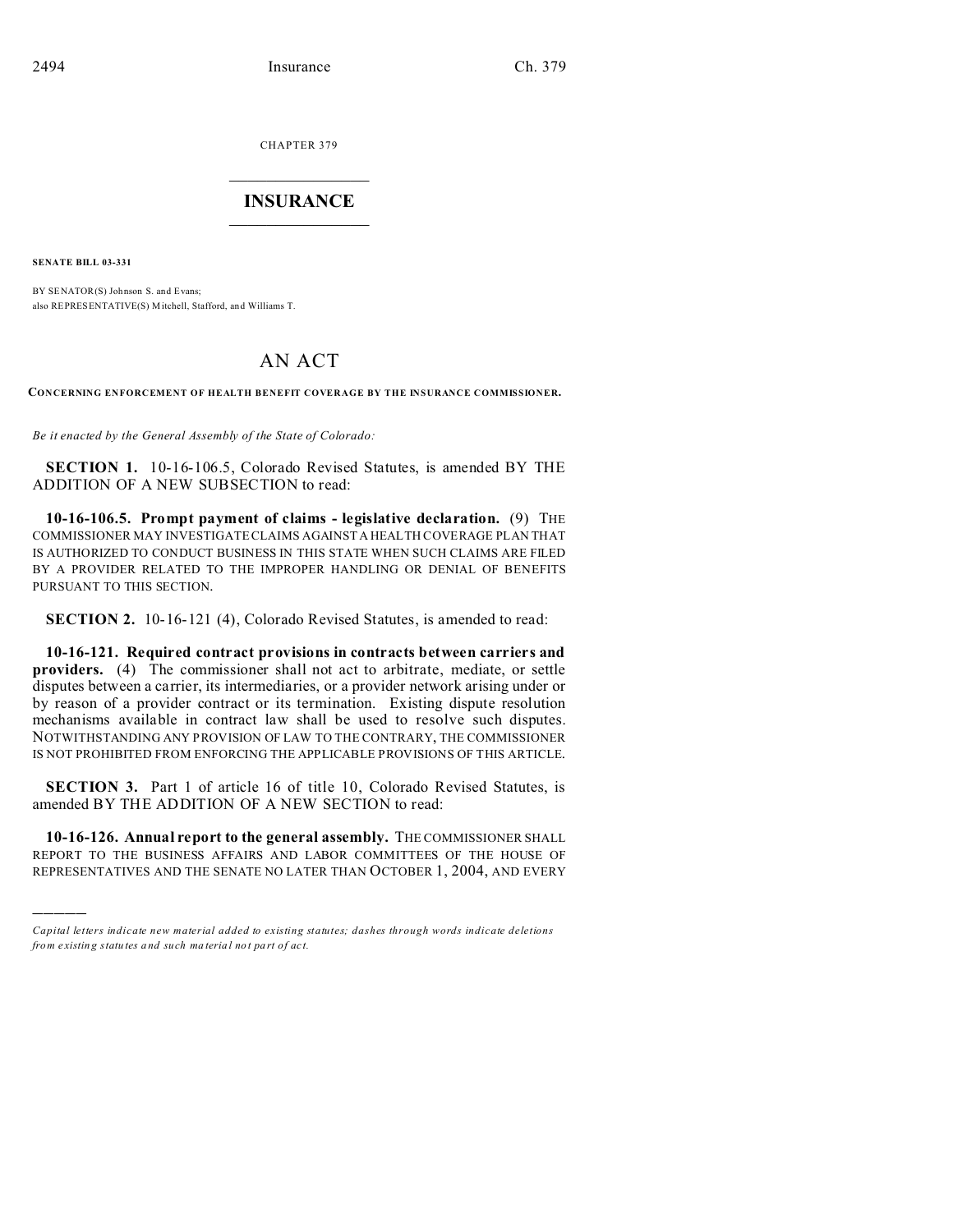CHAPTER 379  $\overline{\phantom{a}}$  , where  $\overline{\phantom{a}}$ 

## **INSURANCE**  $\_$   $\_$   $\_$   $\_$   $\_$   $\_$   $\_$   $\_$

**SENATE BILL 03-331**

)))))

BY SENATOR(S) Johnson S. and Evans; also REPRESENTATIVE(S) Mitchell, Stafford, and Williams T.

## AN ACT

**CONCERNING ENFORCEMENT OF HEALTH BENEFIT COVERAGE BY THE INSURANCE COMMISSIONER.**

*Be it enacted by the General Assembly of the State of Colorado:*

**SECTION 1.** 10-16-106.5, Colorado Revised Statutes, is amended BY THE ADDITION OF A NEW SUBSECTION to read:

**10-16-106.5. Prompt payment of claims - legislative declaration.** (9) THE COMMISSIONER MAY INVESTIGATE CLAIMS AGAINST A HEALTH COVERAGE PLAN THAT IS AUTHORIZED TO CONDUCT BUSINESS IN THIS STATE WHEN SUCH CLAIMS ARE FILED BY A PROVIDER RELATED TO THE IMPROPER HANDLING OR DENIAL OF BENEFITS PURSUANT TO THIS SECTION.

**SECTION 2.** 10-16-121 (4), Colorado Revised Statutes, is amended to read:

**10-16-121. Required contract provisions in contracts between carriers and providers.** (4) The commissioner shall not act to arbitrate, mediate, or settle disputes between a carrier, its intermediaries, or a provider network arising under or by reason of a provider contract or its termination. Existing dispute resolution mechanisms available in contract law shall be used to resolve such disputes. NOTWITHSTANDING ANY PROVISION OF LAW TO THE CONTRARY, THE COMMISSIONER IS NOT PROHIBITED FROM ENFORCING THE APPLICABLE PROVISIONS OF THIS ARTICLE.

**SECTION 3.** Part 1 of article 16 of title 10, Colorado Revised Statutes, is amended BY THE ADDITION OF A NEW SECTION to read:

**10-16-126. Annual report to the general assembly.** THE COMMISSIONER SHALL REPORT TO THE BUSINESS AFFAIRS AND LABOR COMMITTEES OF THE HOUSE OF REPRESENTATIVES AND THE SENATE NO LATER THAN OCTOBER 1, 2004, AND EVERY

*Capital letters indicate new material added to existing statutes; dashes through words indicate deletions from e xistin g statu tes a nd such ma teria l no t pa rt of ac t.*